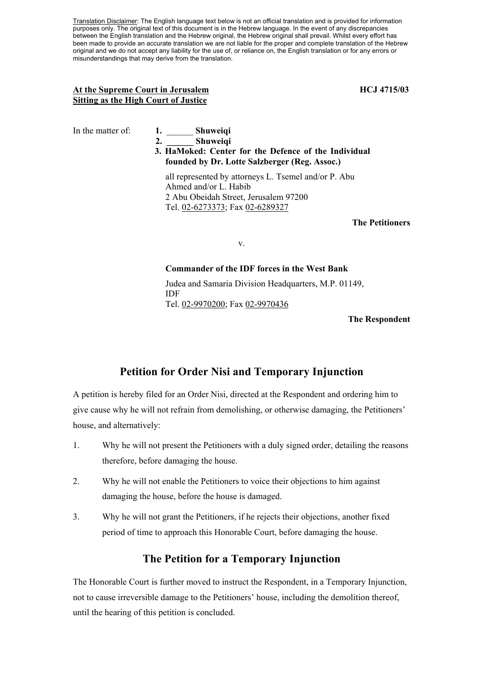Translation Disclaimer: The English language text below is not an official translation and is provided for information purposes only. The original text of this document is in the Hebrew language. In the event of any discrepancies between the English translation and the Hebrew original, the Hebrew original shall prevail. Whilst every effort has been made to provide an accurate translation we are not liable for the proper and complete translation of the Hebrew original and we do not accept any liability for the use of, or reliance on, the English translation or for any errors or misunderstandings that may derive from the translation.

# At the Supreme Court in Jerusalem **HCJ** 4715/03 **Sitting as the High Court of Justice**

# In the matter of: **1.** \_\_\_\_\_\_ **Shuweiqi 2. \_\_\_\_\_\_ Shuweiqi**

 **3. HaMoked: Center for the Defence of the Individual founded by Dr. Lotte Salzberger (Reg. Assoc.)** 

all represented by attorneys L. Tsemel and/or P. Abu Ahmed and/or L. Habib 2 Abu Obeidah Street, Jerusalem 97200 Tel. 02-6273373; Fax 02-6289327

# **The Petitioners**

v.

# **Commander of the IDF forces in the West Bank**

Judea and Samaria Division Headquarters, M.P. 01149, IDF Tel. 02-9970200; Fax 02-9970436

**The Respondent** 

# **Petition for Order Nisi and Temporary Injunction**

A petition is hereby filed for an Order Nisi, directed at the Respondent and ordering him to give cause why he will not refrain from demolishing, or otherwise damaging, the Petitioners' house, and alternatively:

- 1. Why he will not present the Petitioners with a duly signed order, detailing the reasons therefore, before damaging the house.
- 2. Why he will not enable the Petitioners to voice their objections to him against damaging the house, before the house is damaged.
- 3. Why he will not grant the Petitioners, if he rejects their objections, another fixed period of time to approach this Honorable Court, before damaging the house.

# **The Petition for a Temporary Injunction**

The Honorable Court is further moved to instruct the Respondent, in a Temporary Injunction, not to cause irreversible damage to the Petitioners' house, including the demolition thereof, until the hearing of this petition is concluded.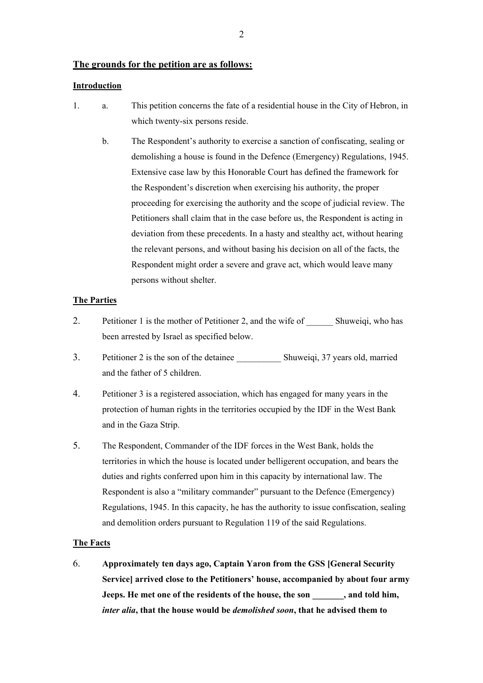# **The grounds for the petition are as follows:**

# **Introduction**

- 1. a. This petition concerns the fate of a residential house in the City of Hebron, in which twenty-six persons reside.
	- b. The Respondent's authority to exercise a sanction of confiscating, sealing or demolishing a house is found in the Defence (Emergency) Regulations, 1945. Extensive case law by this Honorable Court has defined the framework for the Respondent's discretion when exercising his authority, the proper proceeding for exercising the authority and the scope of judicial review. The Petitioners shall claim that in the case before us, the Respondent is acting in deviation from these precedents. In a hasty and stealthy act, without hearing the relevant persons, and without basing his decision on all of the facts, the Respondent might order a severe and grave act, which would leave many persons without shelter.

#### **The Parties**

- 2. Petitioner 1 is the mother of Petitioner 2, and the wife of \_\_\_\_\_\_\_\_ Shuweiqi, who has been arrested by Israel as specified below.
- 3. Petitioner 2 is the son of the detainee \_\_\_\_\_\_\_\_\_\_ Shuweiqi, 37 years old, married and the father of 5 children.
- 4. Petitioner 3 is a registered association, which has engaged for many years in the protection of human rights in the territories occupied by the IDF in the West Bank and in the Gaza Strip.
- 5. The Respondent, Commander of the IDF forces in the West Bank, holds the territories in which the house is located under belligerent occupation, and bears the duties and rights conferred upon him in this capacity by international law. The Respondent is also a "military commander" pursuant to the Defence (Emergency) Regulations, 1945. In this capacity, he has the authority to issue confiscation, sealing and demolition orders pursuant to Regulation 119 of the said Regulations.

#### **The Facts**

6. **Approximately ten days ago, Captain Yaron from the GSS [General Security Service] arrived close to the Petitioners' house, accompanied by about four army Jeeps. He met one of the residents of the house, the son \_\_\_\_\_\_\_, and told him,**  *inter alia***, that the house would be** *demolished soon***, that he advised them to** 

2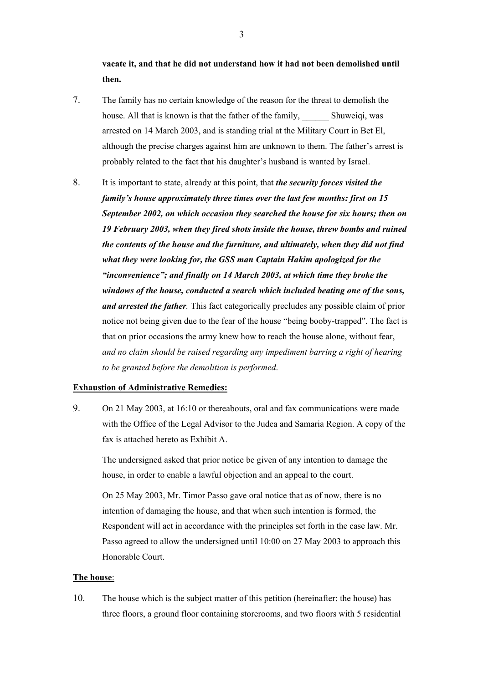**vacate it, and that he did not understand how it had not been demolished until then.**

- 7. The family has no certain knowledge of the reason for the threat to demolish the house. All that is known is that the father of the family, Shuweiqi, was arrested on 14 March 2003, and is standing trial at the Military Court in Bet El, although the precise charges against him are unknown to them. The father's arrest is probably related to the fact that his daughter's husband is wanted by Israel.
- 8. It is important to state, already at this point, that *the security forces visited the family's house approximately three times over the last few months: first on 15 September 2002, on which occasion they searched the house for six hours; then on 19 February 2003, when they fired shots inside the house, threw bombs and ruined the contents of the house and the furniture, and ultimately, when they did not find what they were looking for, the GSS man Captain Hakim apologized for the "inconvenience"; and finally on 14 March 2003, at which time they broke the windows of the house, conducted a search which included beating one of the sons, and arrested the father.* This fact categorically precludes any possible claim of prior notice not being given due to the fear of the house "being booby-trapped". The fact is that on prior occasions the army knew how to reach the house alone, without fear, *and no claim should be raised regarding any impediment barring a right of hearing to be granted before the demolition is performed*.

# **Exhaustion of Administrative Remedies:**

9. On 21 May 2003, at 16:10 or thereabouts, oral and fax communications were made with the Office of the Legal Advisor to the Judea and Samaria Region. A copy of the fax is attached hereto as Exhibit A.

The undersigned asked that prior notice be given of any intention to damage the house, in order to enable a lawful objection and an appeal to the court.

On 25 May 2003, Mr. Timor Passo gave oral notice that as of now, there is no intention of damaging the house, and that when such intention is formed, the Respondent will act in accordance with the principles set forth in the case law. Mr. Passo agreed to allow the undersigned until 10:00 on 27 May 2003 to approach this Honorable Court.

# **The house**:

10. The house which is the subject matter of this petition (hereinafter: the house) has three floors, a ground floor containing storerooms, and two floors with 5 residential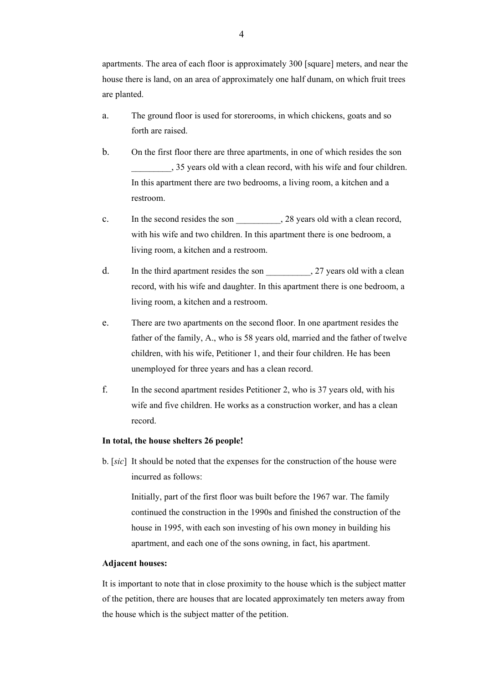apartments. The area of each floor is approximately 300 [square] meters, and near the house there is land, on an area of approximately one half dunam, on which fruit trees are planted.

- a. The ground floor is used for storerooms, in which chickens, goats and so forth are raised.
- b. On the first floor there are three apartments, in one of which resides the son \_\_\_\_\_\_\_\_\_, 35 years old with a clean record, with his wife and four children. In this apartment there are two bedrooms, a living room, a kitchen and a restroom.
- c. In the second resides the son  $\qquad \qquad$ , 28 years old with a clean record, with his wife and two children. In this apartment there is one bedroom, a living room, a kitchen and a restroom.
- d. In the third apartment resides the son 27 years old with a clean record, with his wife and daughter. In this apartment there is one bedroom, a living room, a kitchen and a restroom.
- e. There are two apartments on the second floor. In one apartment resides the father of the family, A., who is 58 years old, married and the father of twelve children, with his wife, Petitioner 1, and their four children. He has been unemployed for three years and has a clean record.
- f. In the second apartment resides Petitioner 2, who is 37 years old, with his wife and five children. He works as a construction worker, and has a clean record.

#### **In total, the house shelters 26 people!**

b. [*sic*] It should be noted that the expenses for the construction of the house were incurred as follows:

Initially, part of the first floor was built before the 1967 war. The family continued the construction in the 1990s and finished the construction of the house in 1995, with each son investing of his own money in building his apartment, and each one of the sons owning, in fact, his apartment.

#### **Adjacent houses:**

It is important to note that in close proximity to the house which is the subject matter of the petition, there are houses that are located approximately ten meters away from the house which is the subject matter of the petition.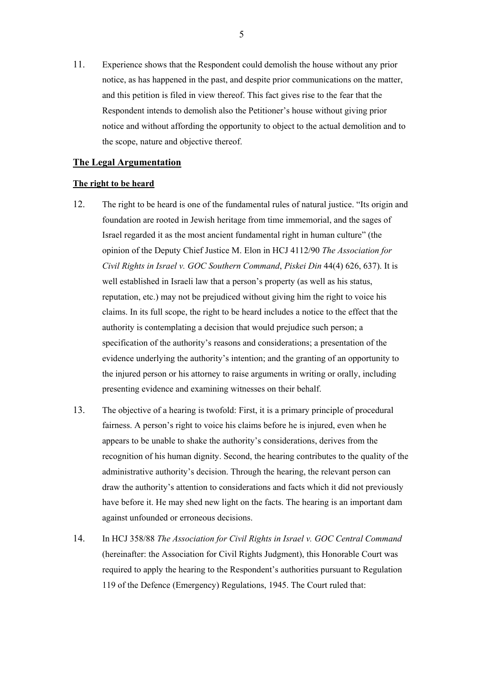11. Experience shows that the Respondent could demolish the house without any prior notice, as has happened in the past, and despite prior communications on the matter, and this petition is filed in view thereof. This fact gives rise to the fear that the Respondent intends to demolish also the Petitioner's house without giving prior notice and without affording the opportunity to object to the actual demolition and to the scope, nature and objective thereof.

# **The Legal Argumentation**

## **The right to be heard**

- 12. The right to be heard is one of the fundamental rules of natural justice. "Its origin and foundation are rooted in Jewish heritage from time immemorial, and the sages of Israel regarded it as the most ancient fundamental right in human culture" (the opinion of the Deputy Chief Justice M. Elon in HCJ 4112/90 *The Association for Civil Rights in Israel v. GOC Southern Command*, *Piskei Din* 44(4) 626, 637). It is well established in Israeli law that a person's property (as well as his status, reputation, etc.) may not be prejudiced without giving him the right to voice his claims. In its full scope, the right to be heard includes a notice to the effect that the authority is contemplating a decision that would prejudice such person; a specification of the authority's reasons and considerations; a presentation of the evidence underlying the authority's intention; and the granting of an opportunity to the injured person or his attorney to raise arguments in writing or orally, including presenting evidence and examining witnesses on their behalf.
- 13. The objective of a hearing is twofold: First, it is a primary principle of procedural fairness. A person's right to voice his claims before he is injured, even when he appears to be unable to shake the authority's considerations, derives from the recognition of his human dignity. Second, the hearing contributes to the quality of the administrative authority's decision. Through the hearing, the relevant person can draw the authority's attention to considerations and facts which it did not previously have before it. He may shed new light on the facts. The hearing is an important dam against unfounded or erroneous decisions.
- 14. In HCJ 358/88 *The Association for Civil Rights in Israel v. GOC Central Command* (hereinafter: the Association for Civil Rights Judgment), this Honorable Court was required to apply the hearing to the Respondent's authorities pursuant to Regulation 119 of the Defence (Emergency) Regulations, 1945. The Court ruled that: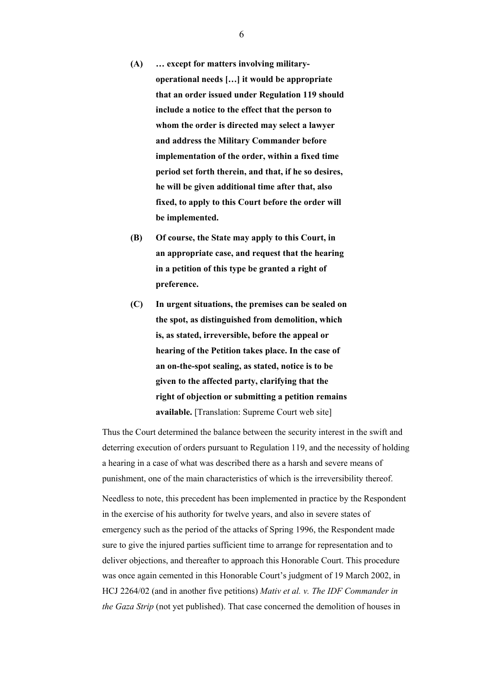- **(A) … except for matters involving militaryoperational needs […] it would be appropriate that an order issued under Regulation 119 should include a notice to the effect that the person to whom the order is directed may select a lawyer and address the Military Commander before implementation of the order, within a fixed time period set forth therein, and that, if he so desires, he will be given additional time after that, also fixed, to apply to this Court before the order will be implemented.**
- **(B) Of course, the State may apply to this Court, in an appropriate case, and request that the hearing in a petition of this type be granted a right of preference.**
- **(C) In urgent situations, the premises can be sealed on the spot, as distinguished from demolition, which is, as stated, irreversible, before the appeal or hearing of the Petition takes place. In the case of an on-the-spot sealing, as stated, notice is to be given to the affected party, clarifying that the right of objection or submitting a petition remains available.** [Translation: Supreme Court web site]

Thus the Court determined the balance between the security interest in the swift and deterring execution of orders pursuant to Regulation 119, and the necessity of holding a hearing in a case of what was described there as a harsh and severe means of punishment, one of the main characteristics of which is the irreversibility thereof.

Needless to note, this precedent has been implemented in practice by the Respondent in the exercise of his authority for twelve years, and also in severe states of emergency such as the period of the attacks of Spring 1996, the Respondent made sure to give the injured parties sufficient time to arrange for representation and to deliver objections, and thereafter to approach this Honorable Court. This procedure was once again cemented in this Honorable Court's judgment of 19 March 2002, in HCJ 2264/02 (and in another five petitions) *Mativ et al. v. The IDF Commander in the Gaza Strip* (not yet published). That case concerned the demolition of houses in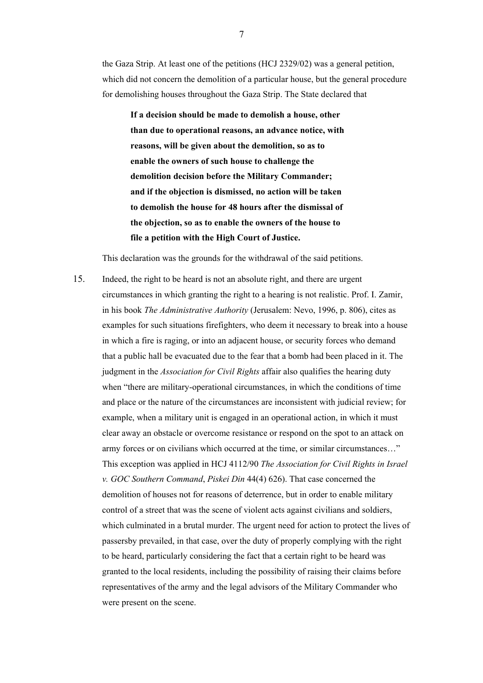the Gaza Strip. At least one of the petitions (HCJ 2329/02) was a general petition, which did not concern the demolition of a particular house, but the general procedure for demolishing houses throughout the Gaza Strip. The State declared that

**If a decision should be made to demolish a house, other than due to operational reasons, an advance notice, with reasons, will be given about the demolition, so as to enable the owners of such house to challenge the demolition decision before the Military Commander; and if the objection is dismissed, no action will be taken to demolish the house for 48 hours after the dismissal of the objection, so as to enable the owners of the house to file a petition with the High Court of Justice.** 

This declaration was the grounds for the withdrawal of the said petitions.

15. Indeed, the right to be heard is not an absolute right, and there are urgent circumstances in which granting the right to a hearing is not realistic. Prof. I. Zamir, in his book *The Administrative Authority* (Jerusalem: Nevo, 1996, p. 806), cites as examples for such situations firefighters, who deem it necessary to break into a house in which a fire is raging, or into an adjacent house, or security forces who demand that a public hall be evacuated due to the fear that a bomb had been placed in it. The judgment in the *Association for Civil Rights* affair also qualifies the hearing duty when "there are military-operational circumstances, in which the conditions of time and place or the nature of the circumstances are inconsistent with judicial review; for example, when a military unit is engaged in an operational action, in which it must clear away an obstacle or overcome resistance or respond on the spot to an attack on army forces or on civilians which occurred at the time, or similar circumstances…" This exception was applied in HCJ 4112/90 *The Association for Civil Rights in Israel v. GOC Southern Command*, *Piskei Din* 44(4) 626). That case concerned the demolition of houses not for reasons of deterrence, but in order to enable military control of a street that was the scene of violent acts against civilians and soldiers, which culminated in a brutal murder. The urgent need for action to protect the lives of passersby prevailed, in that case, over the duty of properly complying with the right to be heard, particularly considering the fact that a certain right to be heard was granted to the local residents, including the possibility of raising their claims before representatives of the army and the legal advisors of the Military Commander who were present on the scene.

7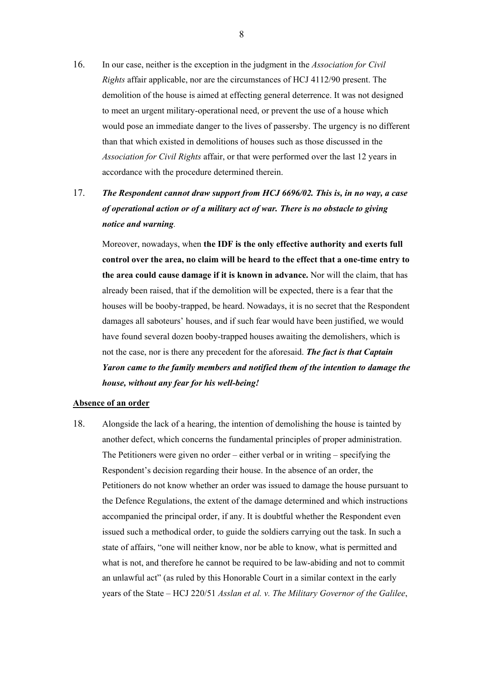16. In our case, neither is the exception in the judgment in the *Association for Civil Rights* affair applicable, nor are the circumstances of HCJ 4112/90 present. The demolition of the house is aimed at effecting general deterrence. It was not designed to meet an urgent military-operational need, or prevent the use of a house which would pose an immediate danger to the lives of passersby. The urgency is no different than that which existed in demolitions of houses such as those discussed in the *Association for Civil Rights* affair, or that were performed over the last 12 years in accordance with the procedure determined therein.

# 17. *The Respondent cannot draw support from HCJ 6696/02. This is, in no way, a case of operational action or of a military act of war. There is no obstacle to giving notice and warning.*

Moreover, nowadays, when **the IDF is the only effective authority and exerts full control over the area, no claim will be heard to the effect that a one-time entry to the area could cause damage if it is known in advance.** Nor will the claim, that has already been raised, that if the demolition will be expected, there is a fear that the houses will be booby-trapped, be heard. Nowadays, it is no secret that the Respondent damages all saboteurs' houses, and if such fear would have been justified, we would have found several dozen booby-trapped houses awaiting the demolishers, which is not the case, nor is there any precedent for the aforesaid. *The fact is that Captain Yaron came to the family members and notified them of the intention to damage the house, without any fear for his well-being!*

### **Absence of an order**

18. Alongside the lack of a hearing, the intention of demolishing the house is tainted by another defect, which concerns the fundamental principles of proper administration. The Petitioners were given no order – either verbal or in writing – specifying the Respondent's decision regarding their house. In the absence of an order, the Petitioners do not know whether an order was issued to damage the house pursuant to the Defence Regulations, the extent of the damage determined and which instructions accompanied the principal order, if any. It is doubtful whether the Respondent even issued such a methodical order, to guide the soldiers carrying out the task. In such a state of affairs, "one will neither know, nor be able to know, what is permitted and what is not, and therefore he cannot be required to be law-abiding and not to commit an unlawful act" (as ruled by this Honorable Court in a similar context in the early years of the State – HCJ 220/51 *Asslan et al. v. The Military Governor of the Galilee*,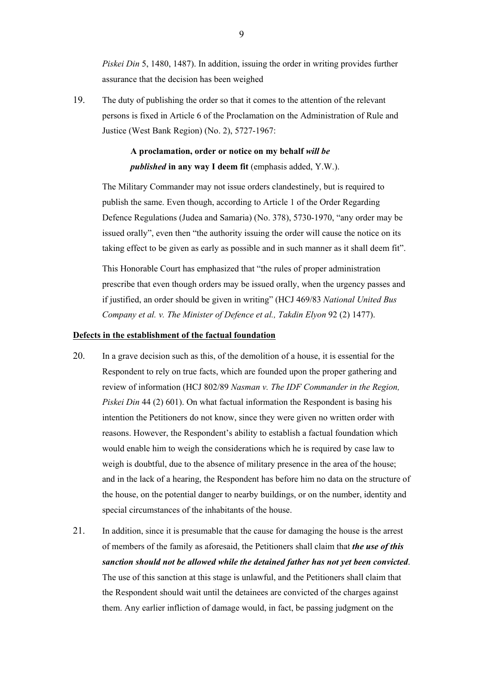*Piskei Din* 5, 1480, 1487). In addition, issuing the order in writing provides further assurance that the decision has been weighed

19. The duty of publishing the order so that it comes to the attention of the relevant persons is fixed in Article 6 of the Proclamation on the Administration of Rule and Justice (West Bank Region) (No. 2), 5727-1967:

# **A proclamation, order or notice on my behalf** *will be published* **in any way I deem fit** (emphasis added, Y.W.).

The Military Commander may not issue orders clandestinely, but is required to publish the same. Even though, according to Article 1 of the Order Regarding Defence Regulations (Judea and Samaria) (No. 378), 5730-1970, "any order may be issued orally", even then "the authority issuing the order will cause the notice on its taking effect to be given as early as possible and in such manner as it shall deem fit".

This Honorable Court has emphasized that "the rules of proper administration prescribe that even though orders may be issued orally, when the urgency passes and if justified, an order should be given in writing" (HCJ 469/83 *National United Bus Company et al. v. The Minister of Defence et al., Takdin Elyon* 92 (2) 1477).

# **Defects in the establishment of the factual foundation**

- 20. In a grave decision such as this, of the demolition of a house, it is essential for the Respondent to rely on true facts, which are founded upon the proper gathering and review of information (HCJ 802/89 *Nasman v. The IDF Commander in the Region, Piskei Din* 44 (2) 601). On what factual information the Respondent is basing his intention the Petitioners do not know, since they were given no written order with reasons. However, the Respondent's ability to establish a factual foundation which would enable him to weigh the considerations which he is required by case law to weigh is doubtful, due to the absence of military presence in the area of the house; and in the lack of a hearing, the Respondent has before him no data on the structure of the house, on the potential danger to nearby buildings, or on the number, identity and special circumstances of the inhabitants of the house.
- 21. In addition, since it is presumable that the cause for damaging the house is the arrest of members of the family as aforesaid, the Petitioners shall claim that *the use of this sanction should not be allowed while the detained father has not yet been convicted*. The use of this sanction at this stage is unlawful, and the Petitioners shall claim that the Respondent should wait until the detainees are convicted of the charges against them. Any earlier infliction of damage would, in fact, be passing judgment on the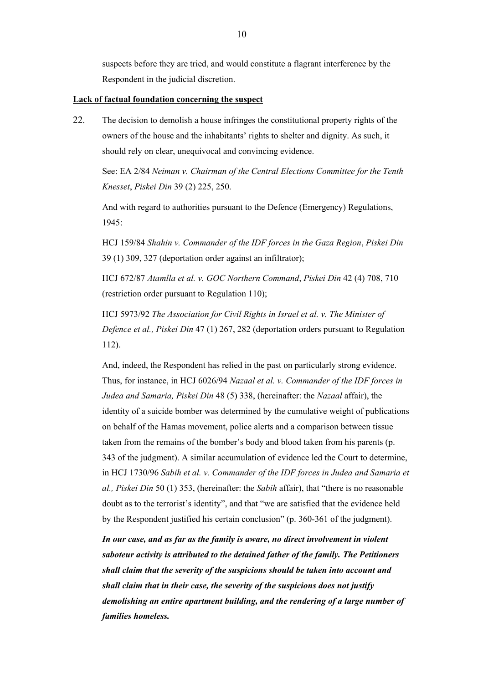suspects before they are tried, and would constitute a flagrant interference by the Respondent in the judicial discretion.

#### **Lack of factual foundation concerning the suspect**

22. The decision to demolish a house infringes the constitutional property rights of the owners of the house and the inhabitants' rights to shelter and dignity. As such, it should rely on clear, unequivocal and convincing evidence.

See: EA 2/84 *Neiman v. Chairman of the Central Elections Committee for the Tenth Knesset*, *Piskei Din* 39 (2) 225, 250.

And with regard to authorities pursuant to the Defence (Emergency) Regulations, 1945:

HCJ 159/84 *Shahin v. Commander of the IDF forces in the Gaza Region*, *Piskei Din* 39 (1) 309, 327 (deportation order against an infiltrator);

HCJ 672/87 *Atamlla et al. v. GOC Northern Command*, *Piskei Din* 42 (4) 708, 710 (restriction order pursuant to Regulation 110);

HCJ 5973/92 *The Association for Civil Rights in Israel et al. v. The Minister of Defence et al., Piskei Din* 47 (1) 267, 282 (deportation orders pursuant to Regulation 112).

And, indeed, the Respondent has relied in the past on particularly strong evidence. Thus, for instance, in HCJ 6026/94 *Nazaal et al. v. Commander of the IDF forces in Judea and Samaria, Piskei Din* 48 (5) 338, (hereinafter: the *Nazaal* affair), the identity of a suicide bomber was determined by the cumulative weight of publications on behalf of the Hamas movement, police alerts and a comparison between tissue taken from the remains of the bomber's body and blood taken from his parents (p. 343 of the judgment). A similar accumulation of evidence led the Court to determine, in HCJ 1730/96 *Sabih et al. v. Commander of the IDF forces in Judea and Samaria et al., Piskei Din* 50 (1) 353, (hereinafter: the *Sabih* affair), that "there is no reasonable doubt as to the terrorist's identity", and that "we are satisfied that the evidence held by the Respondent justified his certain conclusion" (p. 360-361 of the judgment).

*In our case, and as far as the family is aware, no direct involvement in violent saboteur activity is attributed to the detained father of the family. The Petitioners shall claim that the severity of the suspicions should be taken into account and shall claim that in their case, the severity of the suspicions does not justify demolishing an entire apartment building, and the rendering of a large number of families homeless.*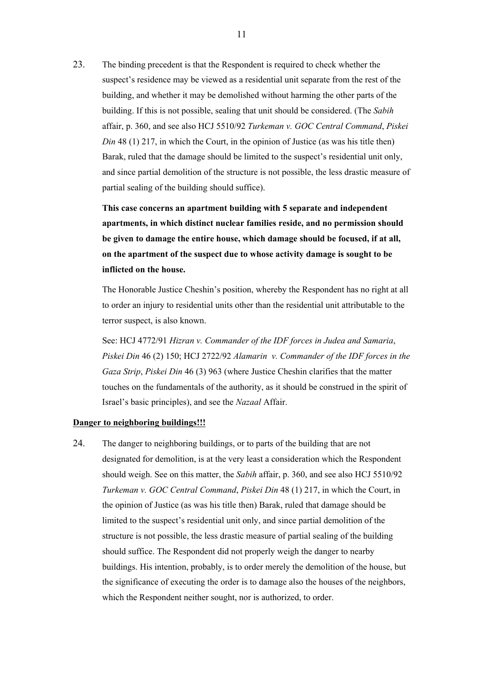23. The binding precedent is that the Respondent is required to check whether the suspect's residence may be viewed as a residential unit separate from the rest of the building, and whether it may be demolished without harming the other parts of the building. If this is not possible, sealing that unit should be considered. (The *Sabih* affair, p. 360, and see also HCJ 5510/92 *Turkeman v. GOC Central Command*, *Piskei Din* 48 (1) 217, in which the Court, in the opinion of Justice (as was his title then) Barak, ruled that the damage should be limited to the suspect's residential unit only, and since partial demolition of the structure is not possible, the less drastic measure of partial sealing of the building should suffice).

**This case concerns an apartment building with 5 separate and independent apartments, in which distinct nuclear families reside, and no permission should be given to damage the entire house, which damage should be focused, if at all, on the apartment of the suspect due to whose activity damage is sought to be inflicted on the house.** 

The Honorable Justice Cheshin's position, whereby the Respondent has no right at all to order an injury to residential units other than the residential unit attributable to the terror suspect, is also known.

See: HCJ 4772/91 *Hizran v. Commander of the IDF forces in Judea and Samaria*, *Piskei Din* 46 (2) 150; HCJ 2722/92 *Alamarin v. Commander of the IDF forces in the Gaza Strip*, *Piskei Din* 46 (3) 963 (where Justice Cheshin clarifies that the matter touches on the fundamentals of the authority, as it should be construed in the spirit of Israel's basic principles), and see the *Nazaal* Affair.

#### **Danger to neighboring buildings!!!**

24. The danger to neighboring buildings, or to parts of the building that are not designated for demolition, is at the very least a consideration which the Respondent should weigh. See on this matter, the *Sabih* affair, p. 360, and see also HCJ 5510/92 *Turkeman v. GOC Central Command*, *Piskei Din* 48 (1) 217, in which the Court, in the opinion of Justice (as was his title then) Barak, ruled that damage should be limited to the suspect's residential unit only, and since partial demolition of the structure is not possible, the less drastic measure of partial sealing of the building should suffice. The Respondent did not properly weigh the danger to nearby buildings. His intention, probably, is to order merely the demolition of the house, but the significance of executing the order is to damage also the houses of the neighbors, which the Respondent neither sought, nor is authorized, to order.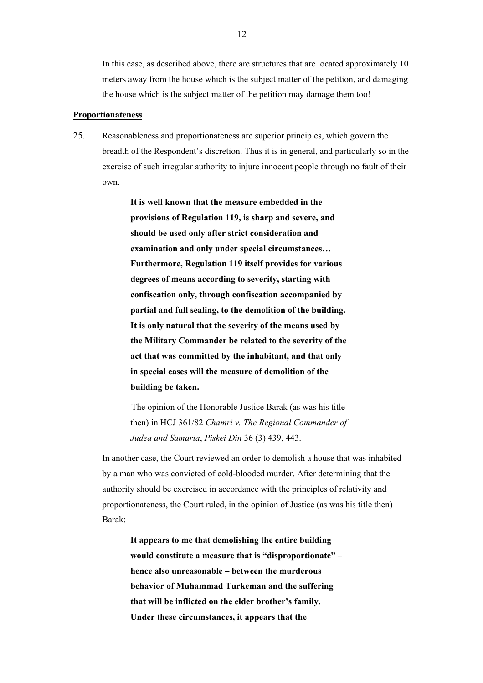In this case, as described above, there are structures that are located approximately 10 meters away from the house which is the subject matter of the petition, and damaging the house which is the subject matter of the petition may damage them too!

#### **Proportionateness**

25. Reasonableness and proportionateness are superior principles, which govern the breadth of the Respondent's discretion. Thus it is in general, and particularly so in the exercise of such irregular authority to injure innocent people through no fault of their own.

> **It is well known that the measure embedded in the provisions of Regulation 119, is sharp and severe, and should be used only after strict consideration and examination and only under special circumstances… Furthermore, Regulation 119 itself provides for various degrees of means according to severity, starting with confiscation only, through confiscation accompanied by partial and full sealing, to the demolition of the building. It is only natural that the severity of the means used by the Military Commander be related to the severity of the act that was committed by the inhabitant, and that only in special cases will the measure of demolition of the building be taken.**

> The opinion of the Honorable Justice Barak (as was his title then) in HCJ 361/82 *Chamri v. The Regional Commander of Judea and Samaria*, *Piskei Din* 36 (3) 439, 443.

In another case, the Court reviewed an order to demolish a house that was inhabited by a man who was convicted of cold-blooded murder. After determining that the authority should be exercised in accordance with the principles of relativity and proportionateness, the Court ruled, in the opinion of Justice (as was his title then) Barak:

**It appears to me that demolishing the entire building would constitute a measure that is "disproportionate" – hence also unreasonable – between the murderous behavior of Muhammad Turkeman and the suffering that will be inflicted on the elder brother's family. Under these circumstances, it appears that the**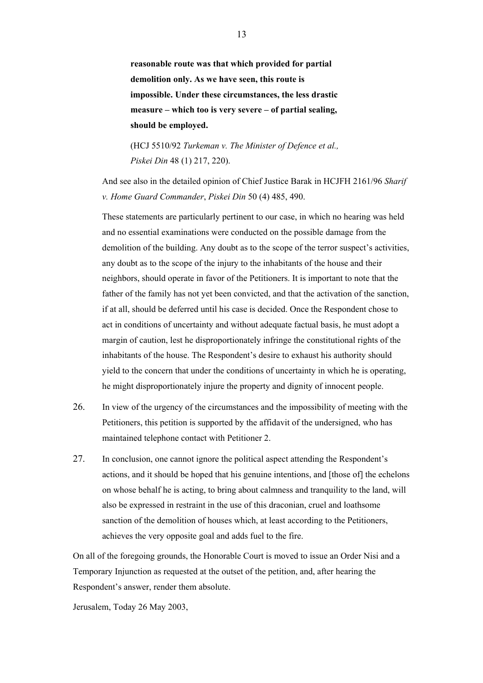**reasonable route was that which provided for partial demolition only. As we have seen, this route is impossible. Under these circumstances, the less drastic measure – which too is very severe – of partial sealing, should be employed.** 

(HCJ 5510/92 *Turkeman v. The Minister of Defence et al., Piskei Din* 48 (1) 217, 220).

And see also in the detailed opinion of Chief Justice Barak in HCJFH 2161/96 *Sharif v. Home Guard Commander*, *Piskei Din* 50 (4) 485, 490.

These statements are particularly pertinent to our case, in which no hearing was held and no essential examinations were conducted on the possible damage from the demolition of the building. Any doubt as to the scope of the terror suspect's activities, any doubt as to the scope of the injury to the inhabitants of the house and their neighbors, should operate in favor of the Petitioners. It is important to note that the father of the family has not yet been convicted, and that the activation of the sanction, if at all, should be deferred until his case is decided. Once the Respondent chose to act in conditions of uncertainty and without adequate factual basis, he must adopt a margin of caution, lest he disproportionately infringe the constitutional rights of the inhabitants of the house. The Respondent's desire to exhaust his authority should yield to the concern that under the conditions of uncertainty in which he is operating, he might disproportionately injure the property and dignity of innocent people.

- 26. In view of the urgency of the circumstances and the impossibility of meeting with the Petitioners, this petition is supported by the affidavit of the undersigned, who has maintained telephone contact with Petitioner 2.
- 27. In conclusion, one cannot ignore the political aspect attending the Respondent's actions, and it should be hoped that his genuine intentions, and [those of] the echelons on whose behalf he is acting, to bring about calmness and tranquility to the land, will also be expressed in restraint in the use of this draconian, cruel and loathsome sanction of the demolition of houses which, at least according to the Petitioners, achieves the very opposite goal and adds fuel to the fire.

On all of the foregoing grounds, the Honorable Court is moved to issue an Order Nisi and a Temporary Injunction as requested at the outset of the petition, and, after hearing the Respondent's answer, render them absolute.

Jerusalem, Today 26 May 2003,